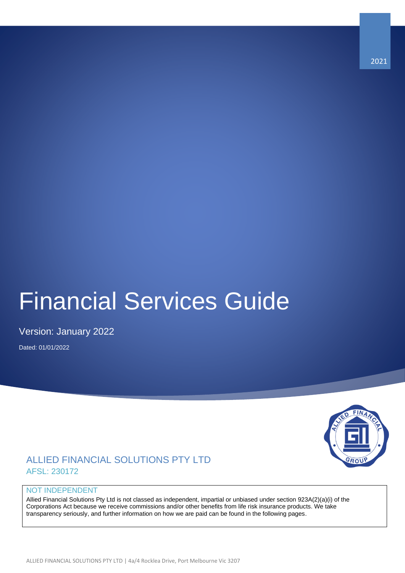# Financial Services Guide

Version: January 2022

Dated: 01/01/2022



# ALLIED FINANCIAL SOLUTIONS PTY LTD AFSL: 230172

## NOT INDEPENDENT

Allied Financial Solutions Pty Ltd is not classed as independent, impartial or unbiased under section 923A(2)(a)(i) of the Corporations Act because we receive commissions and/or other benefits from life risk insurance products. We take transparency seriously, and further information on how we are paid can be found in the following pages.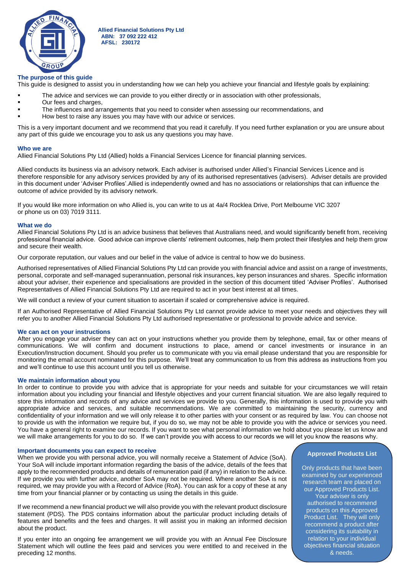

#### **The purpose of this guide**

This guide is designed to assist you in understanding how we can help you achieve your financial and lifestyle goals by explaining:

- The advice and services we can provide to you either directly or in association with other professionals,
- Our fees and charges.
- The influences and arrangements that you need to consider when assessing our recommendations, and
- How best to raise any issues you may have with our advice or services.

This is a very important document and we recommend that you read it carefully. If you need further explanation or you are unsure about any part of this guide we encourage you to ask us any questions you may have.

#### **Who we are**

Allied Financial Solutions Pty Ltd (Allied) holds a Financial Services Licence for financial planning services.

Allied conducts its business via an advisory network. Each adviser is authorised under Allied's Financial Services Licence and is therefore responsible for any advisory services provided by any of its authorised representatives (advisers). Adviser details are provided in this document under 'Adviser Profiles'.Allied is independently owned and has no associations or relationships that can influence the outcome of advice provided by its advisory network.

If you would like more information on who Allied is, you can write to us at 4a/4 Rocklea Drive, Port Melbourne VIC 3207 or phone us on 03) 7019 3111.

#### **What we do**

Allied Financial Solutions Pty Ltd is an advice business that believes that Australians need, and would significantly benefit from, receiving professional financial advice. Good advice can improve clients' retirement outcomes, help them protect their lifestyles and help them grow and secure their wealth.

Our corporate reputation, our values and our belief in the value of advice is central to how we do business.

Authorised representatives of Allied Financial Solutions Pty Ltd can provide you with financial advice and assist on a range of investments, personal, corporate and self-managed superannuation, personal risk insurances, key person insurances and shares. Specific information about your adviser, their experience and specialisations are provided in the section of this document titled 'Adviser Profiles'. Authorised Representatives of Allied Financial Solutions Pty Ltd are required to act in your best interest at all times.

We will conduct a review of your current situation to ascertain if scaled or comprehensive advice is required.

If an Authorised Representative of Allied Financial Solutions Pty Ltd cannot provide advice to meet your needs and objectives they will refer you to another Allied Financial Solutions Pty Ltd authorised representative or professional to provide advice and service.

#### **We can act on your instructions**

After you engage your adviser they can act on your instructions whether you provide them by telephone, email, fax or other means of communications. We will confirm and document instructions to place, amend or cancel investments or insurance in an Execution/Instruction document. Should you prefer us to communicate with you via email please understand that you are responsible for monitoring the email account nominated for this purpose. We'll treat any communication to us from this address as instructions from you and we'll continue to use this account until you tell us otherwise.

#### **We maintain information about you**

In order to continue to provide you with advice that is appropriate for your needs and suitable for your circumstances we will retain information about you including your financial and lifestyle objectives and your current financial situation. We are also legally required to store this information and records of any advice and services we provide to you. Generally, this information is used to provide you with appropriate advice and services, and suitable recommendations. We are committed to maintaining the security, currency and confidentiality of your information and we will only release it to other parties with your consent or as required by law. You can choose not to provide us with the information we require but, if you do so, we may not be able to provide you with the advice or services you need. You have a general right to examine our records. If you want to see what personal information we hold about you please let us know and we will make arrangements for you to do so. If we can't provide you with access to our records we will let you know the reasons why.

#### **Important documents you can expect to receive**

When we provide you with personal advice, you will normally receive a Statement of Advice (SoA). Your SoA will include important information regarding the basis of the advice, details of the fees that apply to the recommended products and details of remuneration paid (if any) in relation to the advice. If we provide you with further advice, another SoA may not be required. Where another SoA is not required, we may provide you with a Record of Advice (RoA). You can ask for a copy of these at any time from your financial planner or by contacting us using the details in this guide.

If we recommend a new financial product we will also provide you with the relevant product disclosure statement (PDS). The PDS contains information about the particular product including details of features and benefits and the fees and charges. It will assist you in making an informed decision about the product.

If you enter into an ongoing fee arrangement we will provide you with an Annual Fee Disclosure Statement which will outline the fees paid and services you were entitled to and received in the preceding 12 months.

#### **Approved Products List**

Only products that have been examined by our experienced research team are placed on our Approved Products List. Your adviser is only authorised to recommend products on this Approved Product List. They will only recommend a product after considering its suitability in relation to your individual objectives financial situation & needs.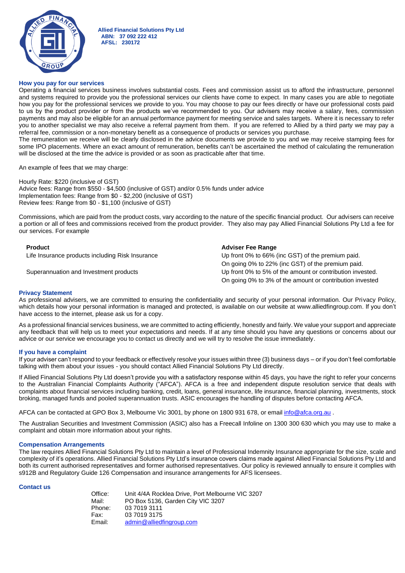

#### **How you pay for our services**

Operating a financial services business involves substantial costs. Fees and commission assist us to afford the infrastructure, personnel and systems required to provide you the professional services our clients have come to expect. In many cases you are able to negotiate how you pay for the professional services we provide to you. You may choose to pay our fees directly or have our professional costs paid to us by the product provider or from the products we've recommended to you. Our advisers may receive a salary, fees, commission payments and may also be eligible for an annual performance payment for meeting service and sales targets. Where it is necessary to refer you to another specialist we may also receive a referral payment from them. If you are referred to Allied by a third party we may pay a referral fee, commission or a non-monetary benefit as a consequence of products or services you purchase.

The remuneration we receive will be clearly disclosed in the advice documents we provide to you and we may receive stamping fees for some IPO placements. Where an exact amount of remuneration, benefits can't be ascertained the method of calculating the remuneration will be disclosed at the time the advice is provided or as soon as practicable after that time.

An example of fees that we may charge:

Hourly Rate: \$220 (inclusive of GST) Advice fees: Range from \$550 - \$4,500 (inclusive of GST) and/or 0.5% funds under advice Implementation fees: Range from \$0 - \$2,200 (inclusive of GST) Review fees: Range from \$0 - \$1,100 (inclusive of GST)

Commissions, which are paid from the product costs, vary according to the nature of the specific financial product. Our advisers can receive a portion or all of fees and commissions received from the product provider. They also may pay Allied Financial Solutions Pty Ltd a fee for our services. For example

**Product Adviser Fee Range** Life Insurance products including Risk Insurance Up front 0% to 66% (inc GST) of the premium paid. On going 0% to 22% (inc GST) of the premium paid. Superannuation and Investment products Up front 0% to 5% of the amount or contribution invested. On going 0% to 3% of the amount or contribution invested

#### **Privacy Statement**

As professional advisers, we are committed to ensuring the confidentiality and security of your personal information. Our Privacy Policy, which details how your personal information is managed and protected, is available on our website at [www.alliedfingroup.com.](http://www.millennium3.com.au/) If you don't have access to the internet, please ask us for a copy.

As a professional financial services business, we are committed to acting efficiently, honestly and fairly. We value your support and appreciate any feedback that will help us to meet your expectations and needs. If at any time should you have any questions or concerns about our advice or our service we encourage you to contact us directly and we will try to resolve the issue immediately.

#### **If you have a complaint**

If your adviser can't respond to your feedback or effectively resolve your issues within three (3) business days – or if you don't feel comfortable talking with them about your issues - you should contact Allied Financial Solutions Pty Ltd directly.

If Allied Financial Solutions Pty Ltd doesn't provide you with a satisfactory response within 45 days, you have the right to refer your concerns to the Australian Financial Complaints Authority ("AFCA"). AFCA is a free and independent dispute resolution service that deals with complaints about financial services including banking, credit, loans, general insurance, life insurance, financial planning, investments, stock broking, managed funds and pooled superannuation trusts. ASIC encourages the handling of disputes before contacting AFCA.

AFCA can be contacted at GPO Box 3, Melbourne Vic 3001, by phone on 1800 931 678, or emai[l info@afca.org.au](mailto:info@afca.org.au).

The Australian Securities and Investment Commission (ASIC) also has a Freecall Infoline on 1300 300 630 which you may use to make a complaint and obtain more information about your rights.

#### **Compensation Arrangements**

The law requires Allied Financial Solutions Pty Ltd to maintain a level of Professional Indemnity Insurance appropriate for the size, scale and complexity of it's operations. Allied Financial Solutions Pty Ltd's insurance covers claims made against Allied Financial Solutions Pty Ltd and both its current authorised representatives and former authorised representatives. Our policy is reviewed annually to ensure it complies with s912B and Regulatory Guide 126 Compensation and insurance arrangements for AFS licensees.

#### **Contact us**

| Office: | Unit 4/4A Rocklea Drive, Port Melbourne VIC 3207 |
|---------|--------------------------------------------------|
| Mail:   | PO Box 5136, Garden City VIC 3207                |
| Phone:  | 03 7019 3111                                     |
| Fax:    | 03 7019 3175                                     |
| Email:  | admin@alliedfingroup.com                         |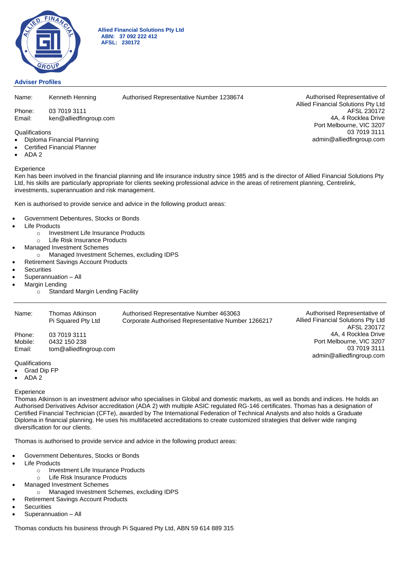

#### **Adviser Profiles**

| Name:  | Kenneth Henning | Authorised Representative Number 1238674 | Authorised Representative of              |
|--------|-----------------|------------------------------------------|-------------------------------------------|
|        |                 |                                          | <b>Allied Financial Solutions Pty Ltd</b> |
| Phone: | 03 7019 3111    |                                          | AFSL 230172                               |

4A, 4 Rocklea Drive Port Melbourne, VIC 3207

admin@alliedfingroup.com

03 7019 3111

Email: ken@alliedfingroup.com

#### Qualifications

- Diploma Financial Planning
- Certified Financial Planner
- ADA 2

#### **Experience**

Ken has been involved in the financial planning and life insurance industry since 1985 and is the director of Allied Financial Solutions Pty Ltd, his skills are particularly appropriate for clients seeking professional advice in the areas of retirement planning, Centrelink, investments, superannuation and risk management.

Ken is authorised to provide service and advice in the following product areas:

- Government Debentures, Stocks or Bonds
- **Life Products** 
	- o Investment Life Insurance Products
	- o Life Risk Insurance Products
	- Managed Investment Schemes
	- o Managed Investment Schemes, excluding IDPS
- Retirement Savings Account Products
- **Securities**
- Superannuation All
- **Margin Lending** 
	- o Standard Margin Lending Facility

| Name:             | Thomas Atkinson<br>Pi Squared Pty Ltd | Authorised Representative Number 463063<br>Corporate Authorised Representative Number 1266217 | Authorised Representative of<br>Allied Financial Solutions Pty Ltd<br>AFSL 230172 |
|-------------------|---------------------------------------|-----------------------------------------------------------------------------------------------|-----------------------------------------------------------------------------------|
| Phone:<br>Mobile: | 03 7019 3111<br>0432 150 238          |                                                                                               | 4A, 4 Rocklea Drive<br>Port Melbourne, VIC 3207                                   |
| Email:            | tom@alliedfingroup.com                |                                                                                               | 03 7019 3111<br>admin@alliedfingroup.com                                          |

### **Qualifications**

- Grad Dip FP
- ADA 2

#### **Experience**

Thomas Atkinson is an investment advisor who specialises in Global and domestic markets, as well as bonds and indices. He holds an Authorised Derivatives Advisor accreditation (ADA 2) with multiple ASIC regulated RG-146 certificates. Thomas has a designation of Certified Financial Technician (CFTe), awarded by The International Federation of Technical Analysts and also holds a Graduate Diploma in financial planning. He uses his multifaceted accreditations to create customized strategies that deliver wide ranging diversification for our clients.

Thomas is authorised to provide service and advice in the following product areas:

- Government Debentures, Stocks or Bonds
- **Life Products** 
	- o Investment Life Insurance Products
	- o Life Risk Insurance Products
- Managed Investment Schemes
	- o Managed Investment Schemes, excluding IDPS
- Retirement Savings Account Products
- **Securities**
- Superannuation All

Thomas conducts his business through Pi Squared Pty Ltd, ABN 59 614 889 315